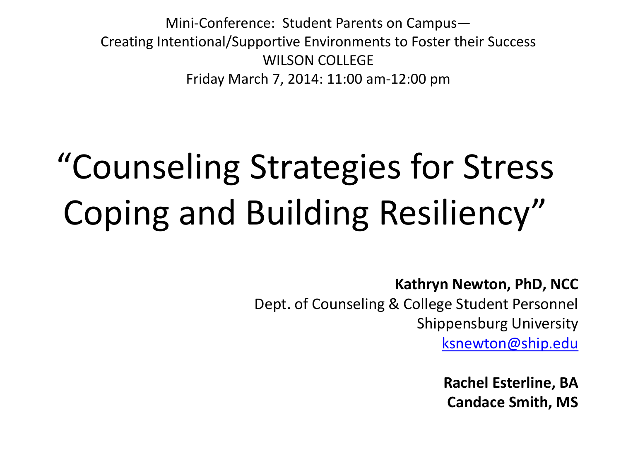Mini-Conference: Student Parents on Campus— Creating Intentional/Supportive Environments to Foster their Success WILSON COLLEGE Friday March 7, 2014: 11:00 am-12:00 pm

# "Counseling Strategies for Stress Coping and Building Resiliency"

**Kathryn Newton, PhD, NCC**

Dept. of Counseling & College Student Personnel Shippensburg University [ksnewton@ship.edu](mailto:ksnewton@ship.edu)

> **Rachel Esterline, BA Candace Smith, MS**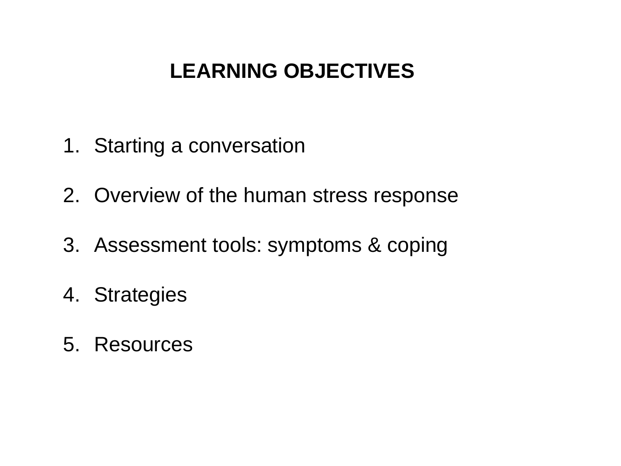#### **LEARNING OBJECTIVES**

- 1. Starting a conversation
- 2. Overview of the human stress response
- 3. Assessment tools: symptoms & coping
- 4. Strategies
- 5. Resources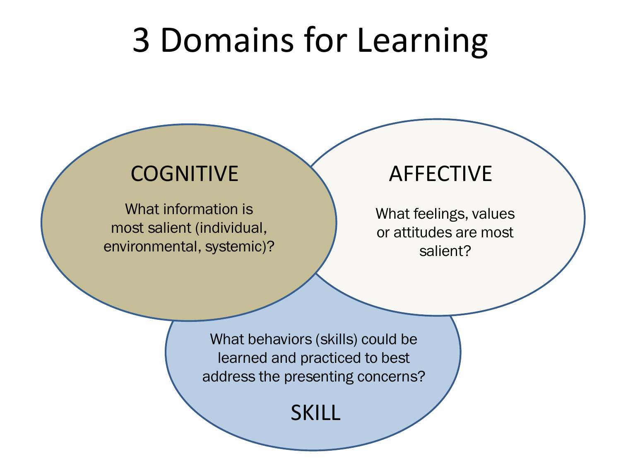# 3 Domains for Learning

#### COGNITIVE AFFECTIVE

What information is most salient (individual, environmental, systemic)?

What feelings, values or attitudes are most salient?

What behaviors (skills) could be learned and practiced to best address the presenting concerns?

SKILL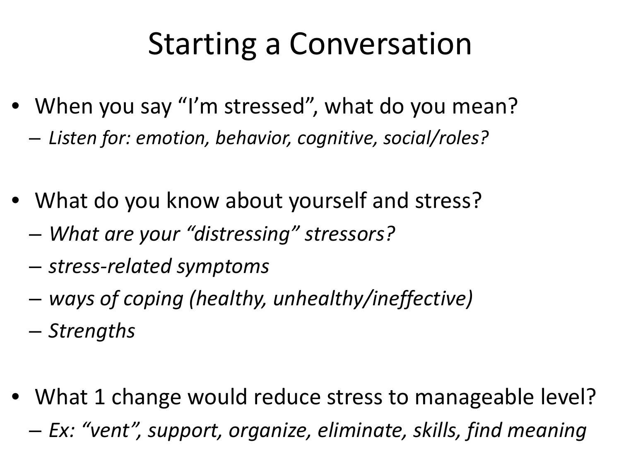### Starting a Conversation

- When you say "I'm stressed", what do you mean? – *Listen for: emotion, behavior, cognitive, social/roles?*
- What do you know about yourself and stress?
	- *What are your "distressing" stressors?*
	- *stress-related symptoms*
	- *ways of coping (healthy, unhealthy/ineffective)*
	- *Strengths*
- What 1 change would reduce stress to manageable level? – *Ex: "vent", support, organize, eliminate, skills, find meaning*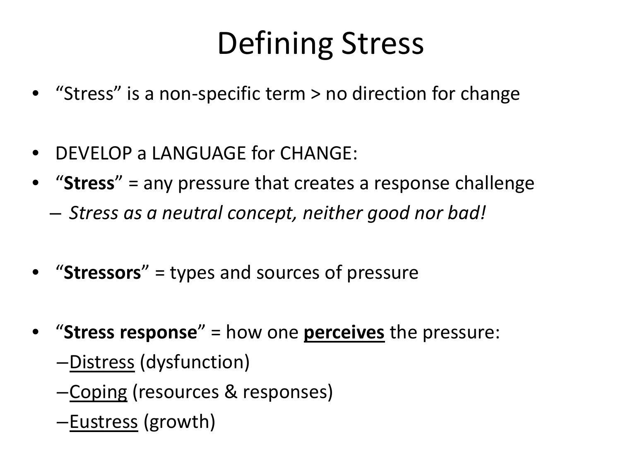# Defining Stress

- "Stress" is a non-specific term > no direction for change
- DEVELOP a LANGUAGE for CHANGE:
- "**Stress**" = any pressure that creates a response challenge
	- *Stress as a neutral concept, neither good nor bad!*
- "**Stressors**" = types and sources of pressure
- "**Stress response**" = how one **perceives** the pressure:
	- –Distress (dysfunction)
	- –Coping (resources & responses)
	- –Eustress (growth)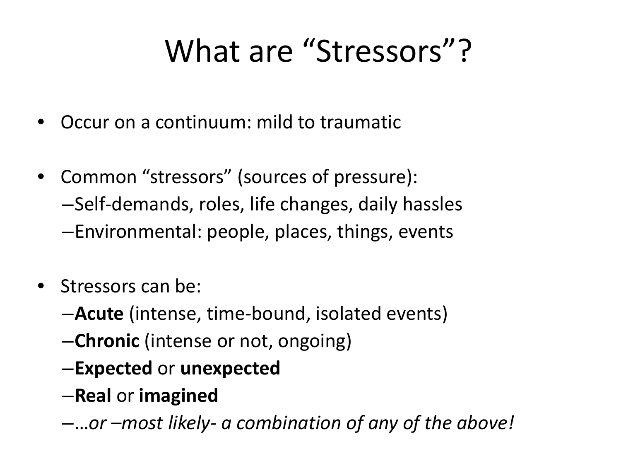### What are "Stressors"?

- Occur on a continuum: mild to traumatic
- Common "stressors" (sources of pressure): –Self-demands, roles, life changes, daily hassles –Environmental: people, places, things, events
- Stressors can be:
	- –**Acute** (intense, time-bound, isolated events)
	- –**Chronic** (intense or not, ongoing)
	- –**Expected** or **unexpected**
	- –**Real** or **imagined**
	- –…*or –most likely- a combination of any of the above!*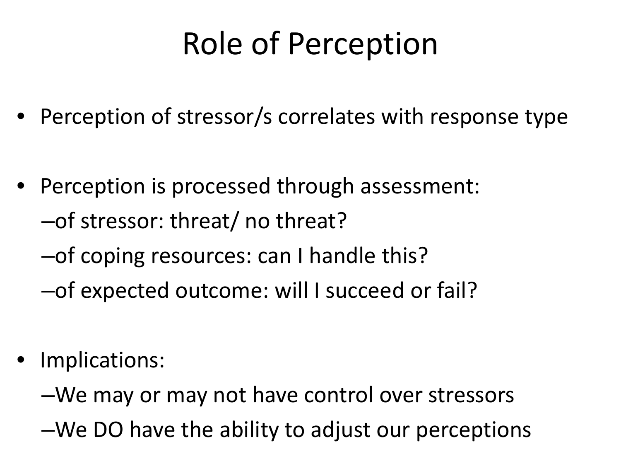## Role of Perception

- Perception of stressor/s correlates with response type
- Perception is processed through assessment: –of stressor: threat/ no threat?
	- –of coping resources: can I handle this?
	- –of expected outcome: will I succeed or fail?
- Implications:
	- –We may or may not have control over stressors
	- –We DO have the ability to adjust our perceptions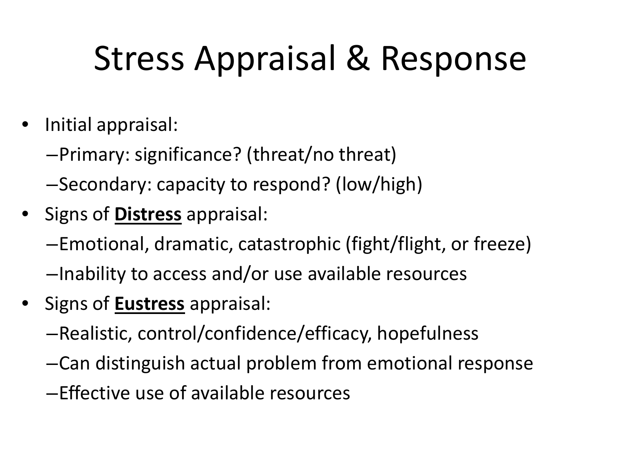# Stress Appraisal & Response

- Initial appraisal:
	- –Primary: significance? (threat/no threat)
	- –Secondary: capacity to respond? (low/high)
- Signs of **Distress** appraisal:
	- –Emotional, dramatic, catastrophic (fight/flight, or freeze) –Inability to access and/or use available resources
- Signs of **Eustress** appraisal:
	- –Realistic, control/confidence/efficacy, hopefulness
	- –Can distinguish actual problem from emotional response
	- –Effective use of available resources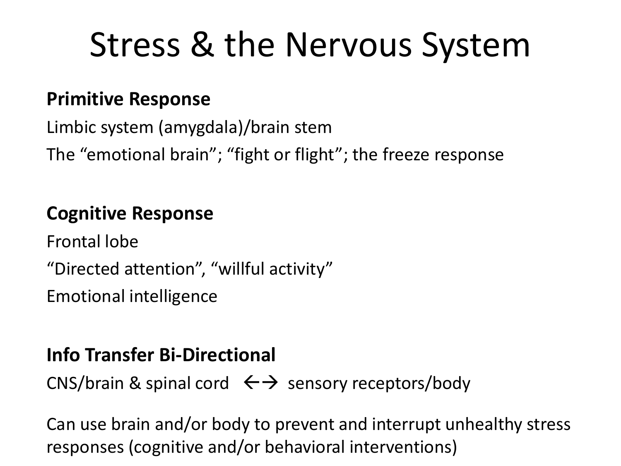# Stress & the Nervous System

#### **Primitive Response**

Limbic system (amygdala)/brain stem The "emotional brain"; "fight or flight"; the freeze response

#### **Cognitive Response**

Frontal lobe "Directed attention", "willful activity" Emotional intelligence

#### **Info Transfer Bi-Directional**

CNS/brain & spinal cord  $\iff$  sensory receptors/body

Can use brain and/or body to prevent and interrupt unhealthy stress responses (cognitive and/or behavioral interventions)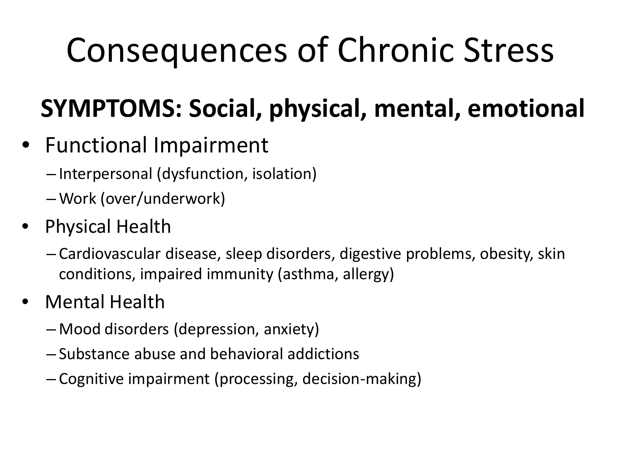# Consequences of Chronic Stress

### **SYMPTOMS: Social, physical, mental, emotional**

- Functional Impairment
	- Interpersonal (dysfunction, isolation)
	- Work (over/underwork)
- Physical Health
	- Cardiovascular disease, sleep disorders, digestive problems, obesity, skin conditions, impaired immunity (asthma, allergy)
- Mental Health
	- Mood disorders (depression, anxiety)
	- Substance abuse and behavioral addictions
	- Cognitive impairment (processing, decision-making)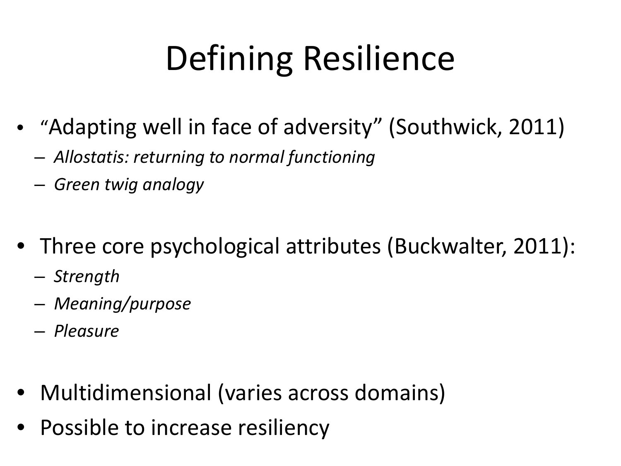# Defining Resilience

- "Adapting well in face of adversity" (Southwick, 2011)
	- *Allostatis: returning to normal functioning*
	- *Green twig analogy*
- Three core psychological attributes (Buckwalter, 2011):
	- *Strength*
	- *Meaning/purpose*
	- *Pleasure*
- Multidimensional (varies across domains)
- Possible to increase resiliency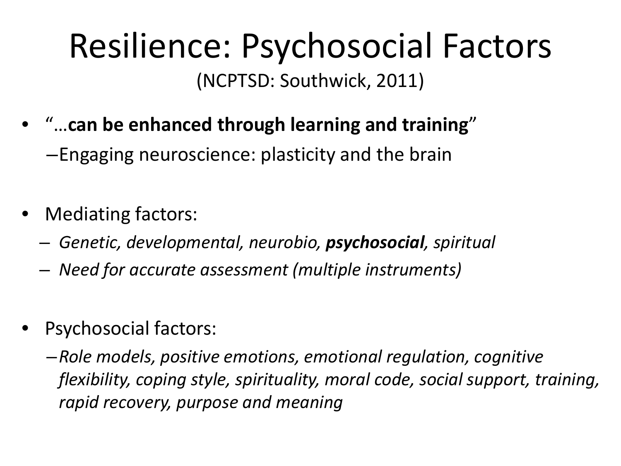### Resilience: Psychosocial Factors (NCPTSD: Southwick, 2011)

- "…**can be enhanced through learning and training**" –Engaging neuroscience: plasticity and the brain
- Mediating factors:
	- *Genetic, developmental, neurobio, psychosocial, spiritual*
	- *Need for accurate assessment (multiple instruments)*
- Psychosocial factors:
	- –*Role models, positive emotions, emotional regulation, cognitive flexibility, coping style, spirituality, moral code, social support, training, rapid recovery, purpose and meaning*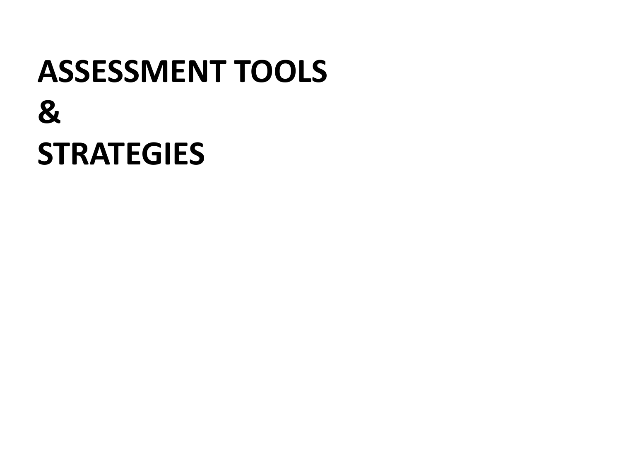# **ASSESSMENT TOOLS & STRATEGIES**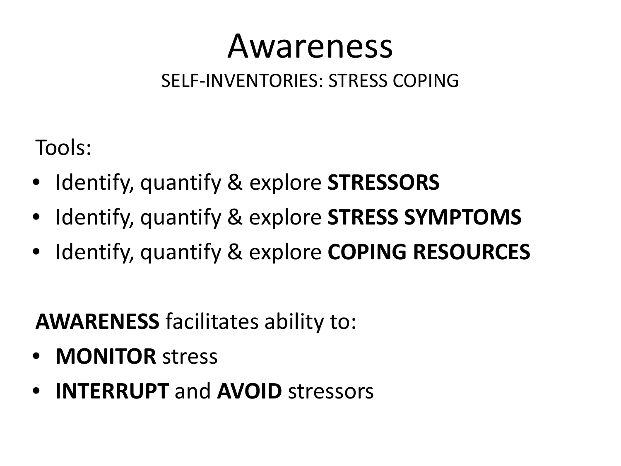# Awareness

#### SELF-INVENTORIES: STRESS COPING

Tools:

- Identify, quantify & explore **STRESSORS**
- Identify, quantify & explore **STRESS SYMPTOMS**
- Identify, quantify & explore **COPING RESOURCES**

### **AWARENESS** facilitates ability to:

- **MONITOR** stress
- **INTERRUPT** and **AVOID** stressors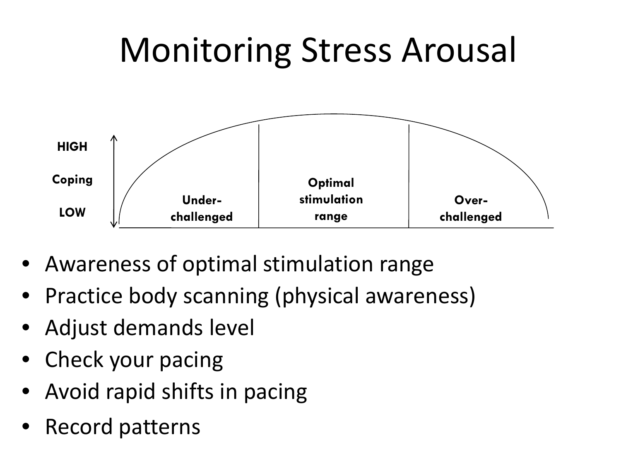# Monitoring Stress Arousal



- Awareness of optimal stimulation range
- Practice body scanning (physical awareness)
- Adjust demands level
- Check your pacing
- Avoid rapid shifts in pacing
- Record patterns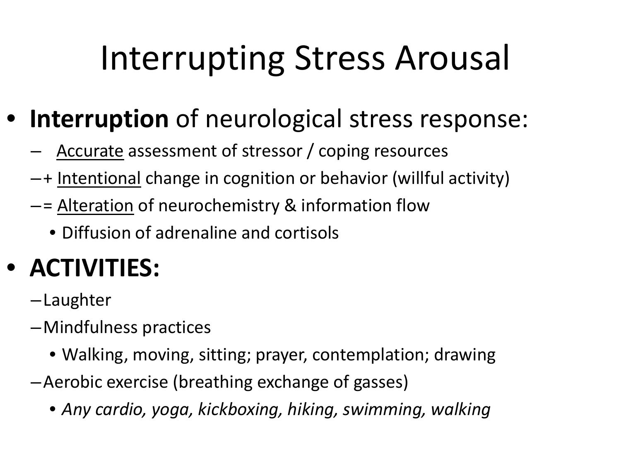# Interrupting Stress Arousal

- **Interruption** of neurological stress response:
	- Accurate assessment of stressor / coping resources
	- –+ Intentional change in cognition or behavior (willful activity)
	- –= Alteration of neurochemistry & information flow
		- Diffusion of adrenaline and cortisols

### • **ACTIVITIES:**

- –Laughter
- –Mindfulness practices
	- Walking, moving, sitting; prayer, contemplation; drawing
- –Aerobic exercise (breathing exchange of gasses)
	- *Any cardio, yoga, kickboxing, hiking, swimming, walking*